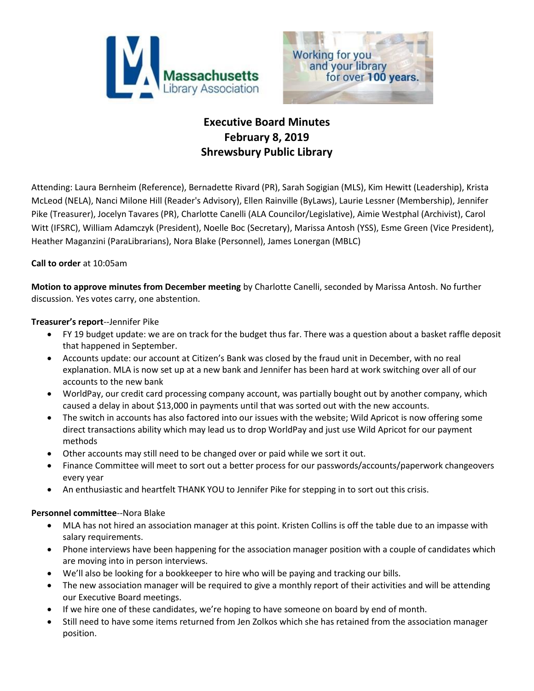



# **Executive Board Minutes February 8, 2019 Shrewsbury Public Library**

Attending: Laura Bernheim (Reference), Bernadette Rivard (PR), Sarah Sogigian (MLS), Kim Hewitt (Leadership), Krista McLeod (NELA), Nanci Milone Hill (Reader's Advisory), Ellen Rainville (ByLaws), Laurie Lessner (Membership), Jennifer Pike (Treasurer), Jocelyn Tavares (PR), Charlotte Canelli (ALA Councilor/Legislative), Aimie Westphal (Archivist), Carol Witt (IFSRC), William Adamczyk (President), Noelle Boc (Secretary), Marissa Antosh (YSS), Esme Green (Vice President), Heather Maganzini (ParaLibrarians), Nora Blake (Personnel), James Lonergan (MBLC)

# **Call to order** at 10:05am

**Motion to approve minutes from December meeting** by Charlotte Canelli, seconded by Marissa Antosh. No further discussion. Yes votes carry, one abstention.

# **Treasurer's report**--Jennifer Pike

- FY 19 budget update: we are on track for the budget thus far. There was a question about a basket raffle deposit that happened in September.
- Accounts update: our account at Citizen's Bank was closed by the fraud unit in December, with no real explanation. MLA is now set up at a new bank and Jennifer has been hard at work switching over all of our accounts to the new bank
- WorldPay, our credit card processing company account, was partially bought out by another company, which caused a delay in about \$13,000 in payments until that was sorted out with the new accounts.
- The switch in accounts has also factored into our issues with the website; Wild Apricot is now offering some direct transactions ability which may lead us to drop WorldPay and just use Wild Apricot for our payment methods
- Other accounts may still need to be changed over or paid while we sort it out.
- Finance Committee will meet to sort out a better process for our passwords/accounts/paperwork changeovers every year
- An enthusiastic and heartfelt THANK YOU to Jennifer Pike for stepping in to sort out this crisis.

#### **Personnel committee**--Nora Blake

- MLA has not hired an association manager at this point. Kristen Collins is off the table due to an impasse with salary requirements.
- Phone interviews have been happening for the association manager position with a couple of candidates which are moving into in person interviews.
- We'll also be looking for a bookkeeper to hire who will be paying and tracking our bills.
- The new association manager will be required to give a monthly report of their activities and will be attending our Executive Board meetings.
- If we hire one of these candidates, we're hoping to have someone on board by end of month.
- Still need to have some items returned from Jen Zolkos which she has retained from the association manager position.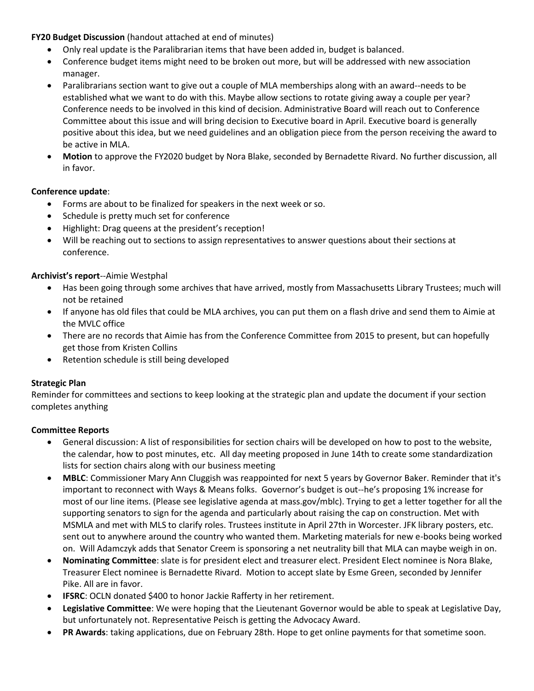# **FY20 Budget Discussion** (handout attached at end of minutes)

- Only real update is the Paralibrarian items that have been added in, budget is balanced.
- Conference budget items might need to be broken out more, but will be addressed with new association manager.
- Paralibrarians section want to give out a couple of MLA memberships along with an award--needs to be established what we want to do with this. Maybe allow sections to rotate giving away a couple per year? Conference needs to be involved in this kind of decision. Administrative Board will reach out to Conference Committee about this issue and will bring decision to Executive board in April. Executive board is generally positive about this idea, but we need guidelines and an obligation piece from the person receiving the award to be active in MLA.
- **Motion** to approve the FY2020 budget by Nora Blake, seconded by Bernadette Rivard. No further discussion, all in favor.

# **Conference update**:

- Forms are about to be finalized for speakers in the next week or so.
- Schedule is pretty much set for conference
- Highlight: Drag queens at the president's reception!
- Will be reaching out to sections to assign representatives to answer questions about their sections at conference.

#### **Archivist's report**--Aimie Westphal

- Has been going through some archives that have arrived, mostly from Massachusetts Library Trustees; much will not be retained
- If anyone has old files that could be MLA archives, you can put them on a flash drive and send them to Aimie at the MVLC office
- There are no records that Aimie has from the Conference Committee from 2015 to present, but can hopefully get those from Kristen Collins
- Retention schedule is still being developed

#### **Strategic Plan**

Reminder for committees and sections to keep looking at the strategic plan and update the document if your section completes anything

#### **Committee Reports**

- General discussion: A list of responsibilities for section chairs will be developed on how to post to the website, the calendar, how to post minutes, etc. All day meeting proposed in June 14th to create some standardization lists for section chairs along with our business meeting
- **MBLC**: Commissioner Mary Ann Cluggish was reappointed for next 5 years by Governor Baker. Reminder that it's important to reconnect with Ways & Means folks. Governor's budget is out--he's proposing 1% increase for most of our line items. (Please see legislative agenda at mass.gov/mblc). Trying to get a letter together for all the supporting senators to sign for the agenda and particularly about raising the cap on construction. Met with MSMLA and met with MLS to clarify roles. Trustees institute in April 27th in Worcester. JFK library posters, etc. sent out to anywhere around the country who wanted them. Marketing materials for new e-books being worked on. Will Adamczyk adds that Senator Creem is sponsoring a net neutrality bill that MLA can maybe weigh in on.
- **Nominating Committee**: slate is for president elect and treasurer elect. President Elect nominee is Nora Blake, Treasurer Elect nominee is Bernadette Rivard. Motion to accept slate by Esme Green, seconded by Jennifer Pike. All are in favor.
- **IFSRC**: OCLN donated \$400 to honor Jackie Rafferty in her retirement.
- **Legislative Committee**: We were hoping that the Lieutenant Governor would be able to speak at Legislative Day, but unfortunately not. Representative Peisch is getting the Advocacy Award.
- **PR Awards**: taking applications, due on February 28th. Hope to get online payments for that sometime soon.